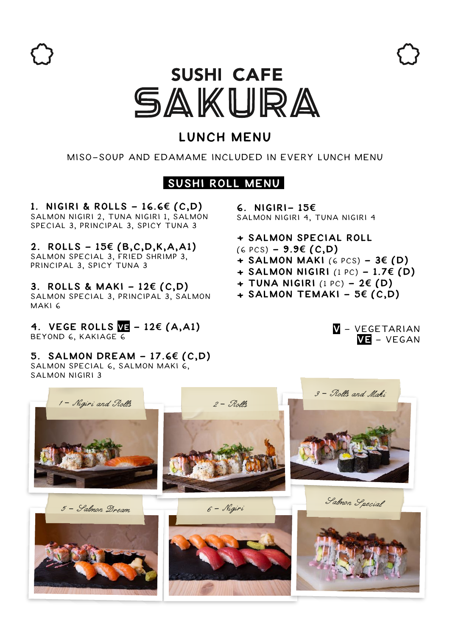

# **SUSHI CAFE** SAKURA

# **Lunch Menu**

## Miso-SOup and edamame included in every lunch menu

## **Sushi Roll Menu**

**1. NIGIRI & ROLLs - 16.6€ (C,D)**  salmon Nigiri 2, Tuna Nigiri 1, Salmon Special 3, Principal 3, Spicy Tuna 3

**2. Rolls - 15€ (B,C,D,K,A,A1)**  Salmon Special 3, Fried Shrimp 3, Principal 3, Spicy Tuna 3

**3. Rolls & Maki - 12€ (C,D)** Salmon Special 3, Principal 3, Salmon Maki 6

**4. Vege RollS Ve - 12€ (A,A1)** BEYOND 6, KAKIAGE 6

**5. Salmon dream - 17.6€ (C,D)** Salmon special 6, Salmon maki 6, salmon nigiri 3

**6. NIGIRI- 15€** Salmon Nigiri 4, Tuna Nigiri 4

- **+ salmon special Roll**
- (6 pcs) **9.9€ (C,D)**
- **+ Salmon Maki** (6 pcs) **3€ (D)**
- **+ salmon Nigiri** (1 pc) **1.7€ (D)**
- **+ Tuna nigiri** (1 pc) **2€ (D)**
- **+ Salmon temaki 5€ (C,D)**

**V** - Vegetarian **Ve** - Vegan

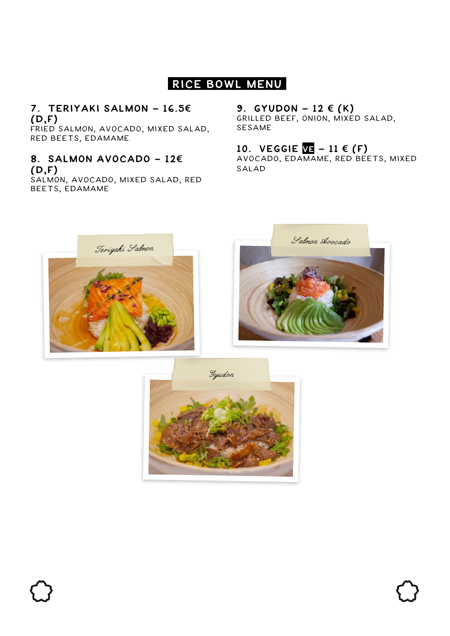# **Rice Bowl Menu**

## **7. Teriyaki Salmon - 16.5€ (D,F)**

fried salmon, Avocado, mixed salad, Red beets, Edamame

#### **8. Salmon Avocado - 12€ (D,F)**

salmon, Avocado, mixed salad, Red Beets, Edamame

## **9.** GYUDON − 12  $\in$   $(K)$

grilled beef, Onion, mixed salad, Sesame

## **10. VEGGIE VE - 11 € (F)**

Avocado, Edamame, Red Beets, mixed salad





Gyudon